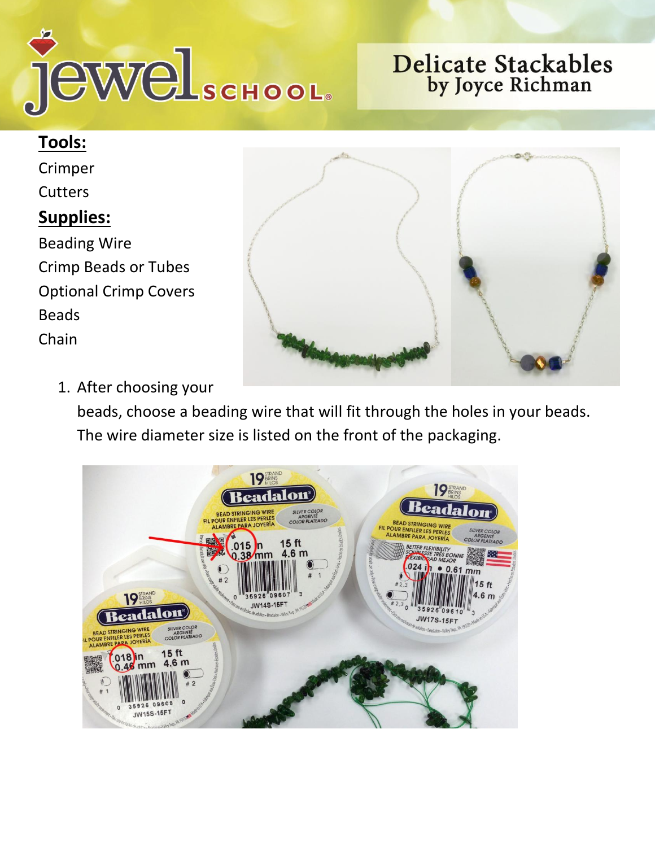

## **Delicate Stackables** by Joyce Richman

## **Tools:**

Crimper **Cutters Supplies:** Beading Wire Crimp Beads or Tubes Optional Crimp Covers Beads Chain



1. After choosing your

beads, choose a beading wire that will fit through the holes in your beads. The wire diameter size is listed on the front of the packaging.

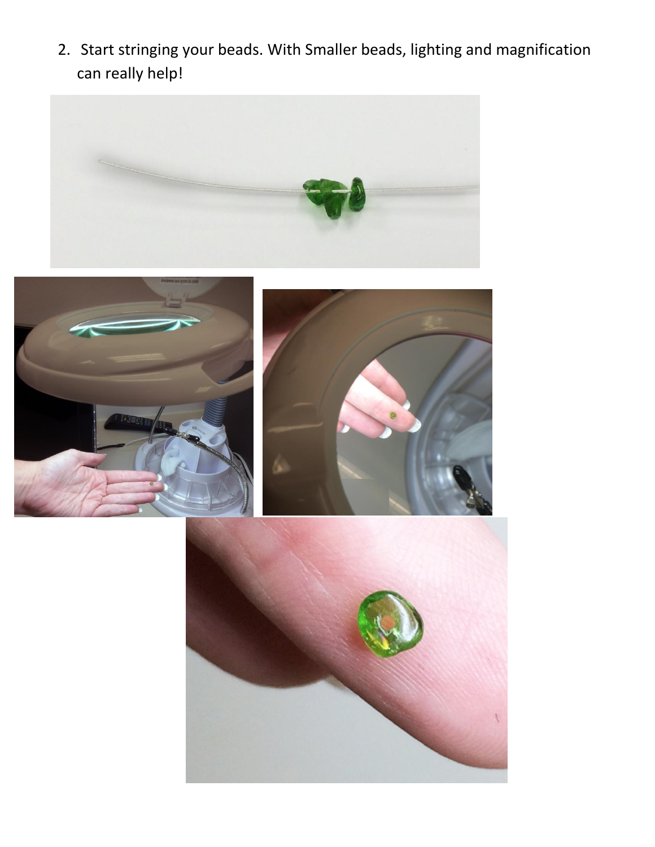2. Start stringing your beads. With Smaller beads, lighting and magnification can really help!







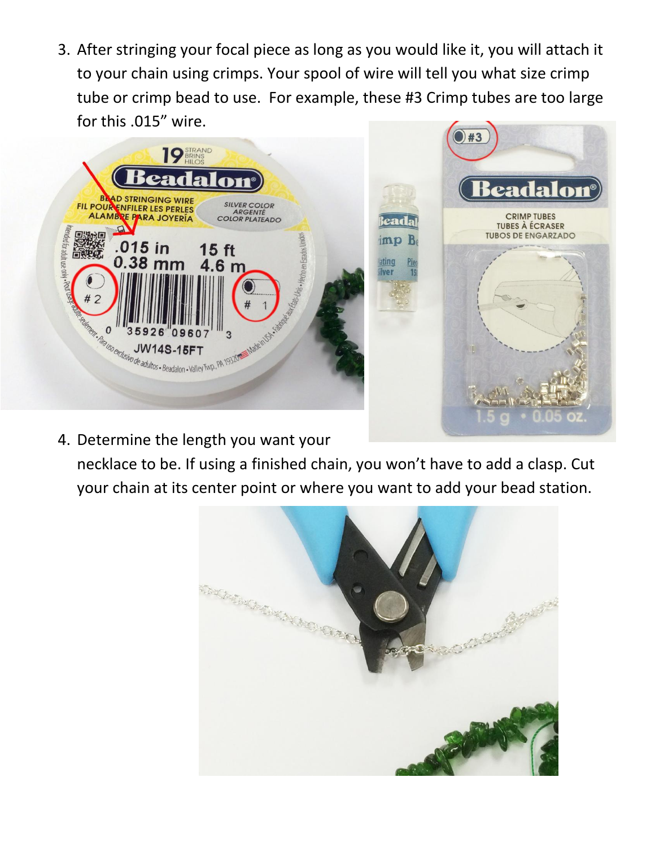3. After stringing your focal piece as long as you would like it, you will attach it to your chain using crimps. Your spool of wire will tell you what size crimp tube or crimp bead to use. For example, these #3 Crimp tubes are too large for this .015" wire.





4. Determine the length you want your

necklace to be. If using a finished chain, you won't have to add a clasp. Cut your chain at its center point or where you want to add your bead station.



ating

ver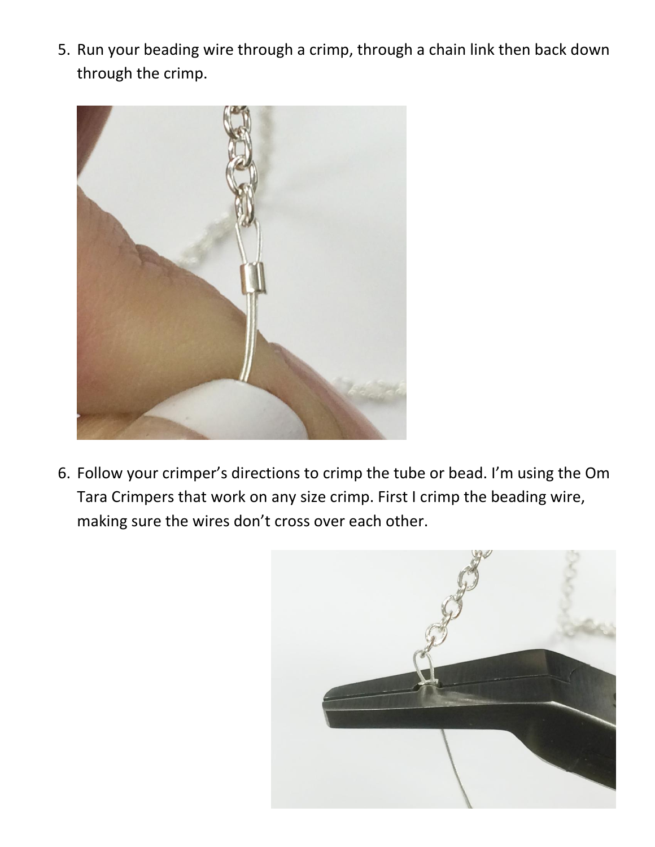5. Run your beading wire through a crimp, through a chain link then back down through the crimp.



6. Follow your crimper's directions to crimp the tube or bead. I'm using the Om Tara Crimpers that work on any size crimp. First I crimp the beading wire, making sure the wires don't cross over each other.

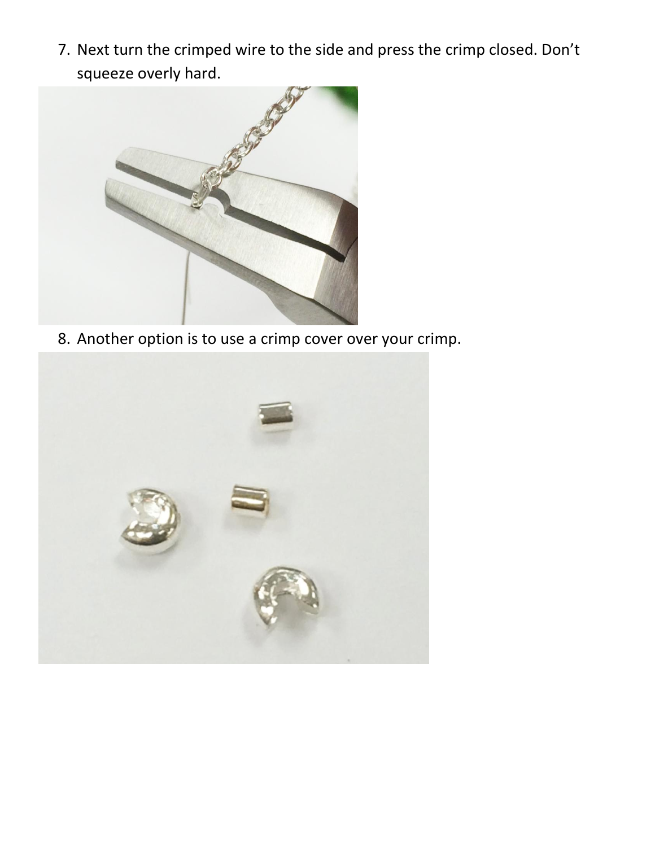7. Next turn the crimped wire to the side and press the crimp closed. Don't squeeze overly hard.



8. Another option is to use a crimp cover over your crimp.